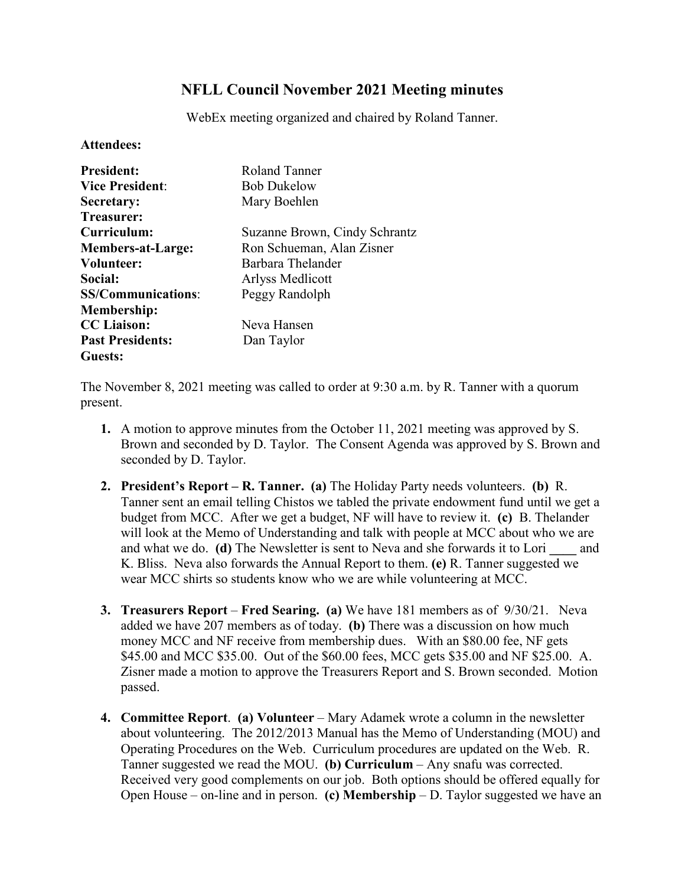## **NFLL Council November 2021 Meeting minutes**

WebEx meeting organized and chaired by Roland Tanner.

## **Attendees:**

| <b>President:</b>         | Roland Tanner                 |
|---------------------------|-------------------------------|
| <b>Vice President:</b>    | <b>Bob Dukelow</b>            |
| Secretary:                | Mary Boehlen                  |
| Treasurer:                |                               |
| Curriculum:               | Suzanne Brown, Cindy Schrantz |
| <b>Members-at-Large:</b>  | Ron Schueman, Alan Zisner     |
| Volunteer:                | Barbara Thelander             |
| Social:                   | Arlyss Medlicott              |
| <b>SS/Communications:</b> | Peggy Randolph                |
| <b>Membership:</b>        |                               |
| <b>CC</b> Liaison:        | Neva Hansen                   |
| <b>Past Presidents:</b>   | Dan Taylor                    |
| Guests:                   |                               |

The November 8, 2021 meeting was called to order at 9:30 a.m. by R. Tanner with a quorum present.

- **1.** A motion to approve minutes from the October 11, 2021 meeting was approved by S. Brown and seconded by D. Taylor. The Consent Agenda was approved by S. Brown and seconded by D. Taylor.
- **2. President's Report – R. Tanner. (a)** The Holiday Party needs volunteers. **(b)** R. Tanner sent an email telling Chistos we tabled the private endowment fund until we get a budget from MCC. After we get a budget, NF will have to review it. **(c)** B. Thelander will look at the Memo of Understanding and talk with people at MCC about who we are and what we do. **(d)** The Newsletter is sent to Neva and she forwards it to Lori **\_\_\_\_** and K. Bliss. Neva also forwards the Annual Report to them. **(e)** R. Tanner suggested we wear MCC shirts so students know who we are while volunteering at MCC.
- **3. Treasurers Report Fred Searing. (a)** We have 181 members as of 9/30/21. Neva added we have 207 members as of today. **(b)** There was a discussion on how much money MCC and NF receive from membership dues. With an \$80.00 fee, NF gets \$45.00 and MCC \$35.00. Out of the \$60.00 fees, MCC gets \$35.00 and NF \$25.00. A. Zisner made a motion to approve the Treasurers Report and S. Brown seconded. Motion passed.
- **4. Committee Report**. **(a) Volunteer** Mary Adamek wrote a column in the newsletter about volunteering. The 2012/2013 Manual has the Memo of Understanding (MOU) and Operating Procedures on the Web. Curriculum procedures are updated on the Web. R. Tanner suggested we read the MOU. **(b) Curriculum** – Any snafu was corrected. Received very good complements on our job. Both options should be offered equally for Open House – on-line and in person. **(c) Membership** – D. Taylor suggested we have an